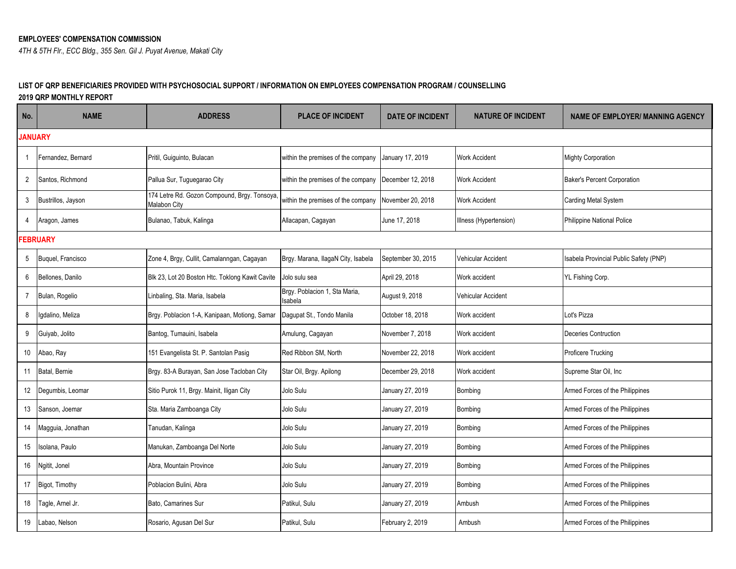*4TH & 5TH Flr., ECC Bldg., 355 Sen. Gil J. Puyat Avenue, Makati City*

## **LIST OF QRP BENEFICIARIES PROVIDED WITH PSYCHOSOCIAL SUPPORT / INFORMATION ON EMPLOYEES COMPENSATION PROGRAM / COUNSELLING**

**2019 QRP MONTHLY REPORT**

| No.            | <b>NAME</b>        | <b>ADDRESS</b>                                                     | <b>PLACE OF INCIDENT</b>                 | <b>DATE OF INCIDENT</b> | <b>NATURE OF INCIDENT</b> | <b>NAME OF EMPLOYER/ MANNING AGENCY</b> |
|----------------|--------------------|--------------------------------------------------------------------|------------------------------------------|-------------------------|---------------------------|-----------------------------------------|
| <b>JANUARY</b> |                    |                                                                    |                                          |                         |                           |                                         |
|                | Fernandez, Bernard | Pritil, Guiguinto, Bulacan                                         | within the premises of the company       | January 17, 2019        | <b>Work Accident</b>      | <b>Mighty Corporation</b>               |
| $\overline{2}$ | Santos, Richmond   | Pallua Sur, Tuguegarao City                                        | within the premises of the company       | December 12, 2018       | <b>Work Accident</b>      | <b>Baker's Percent Corporation</b>      |
| 3              | Bustrillos, Jayson | 174 Letre Rd. Gozon Compound, Brgy. Tonsoya<br><b>Malabon City</b> | within the premises of the company       | November 20, 2018       | <b>Work Accident</b>      | Carding Metal System                    |
| 4              | Aragon, James      | Bulanao, Tabuk, Kalinga                                            | Allacapan, Cagayan                       | June 17, 2018           | Illness (Hypertension)    | Philippine National Police              |
|                | <b>FEBRUARY</b>    |                                                                    |                                          |                         |                           |                                         |
| 5              | Buquel, Francisco  | Zone 4, Brgy, Cullit, Camalanngan, Cagayan                         | Brgy. Marana, IlagaN City, Isabela       | September 30, 2015      | Vehicular Accident        | Isabela Provincial Public Safety (PNP)  |
| 6              | Bellones, Danilo   | Blk 23, Lot 20 Boston Htc. Toklong Kawit Cavite                    | Jolo sulu sea                            | April 29, 2018          | Work accident             | YL Fishing Corp.                        |
|                | Bulan, Rogelio     | Linbaling, Sta. Maria, Isabela                                     | Brgy. Poblacion 1, Sta Maria,<br>Isabela | August 9, 2018          | Vehicular Accident        |                                         |
| 8              | Igdalino, Meliza   | Brgy. Poblacion 1-A, Kanipaan, Motiong, Samar                      | Dagupat St., Tondo Manila                | October 18, 2018        | Work accident             | Lot's Pizza                             |
| 9              | Guiyab, Jolito     | Bantog, Tumauini, Isabela                                          | Amulung, Cagayan                         | November 7, 2018        | Work accident             | Deceries Contruction                    |
| 10             | Abao, Ray          | 151 Evangelista St. P. Santolan Pasig                              | Red Ribbon SM, North                     | November 22, 2018       | Work accident             | Proficere Trucking                      |
| 11             | Batal, Bernie      | Brgy. 83-A Burayan, San Jose Tacloban City                         | Star Oil, Brgy. Apilong                  | December 29, 2018       | Work accident             | Supreme Star Oil, Inc.                  |
| 12             | Degumbis, Leomar   | Sitio Purok 11, Brgy. Mainit, Iligan City                          | Jolo Sulu                                | January 27, 2019        | Bombing                   | Armed Forces of the Philippines         |
| 13             | Sanson, Joemar     | Sta. Maria Zamboanga City                                          | Jolo Sulu                                | January 27, 2019        | Bombing                   | Armed Forces of the Philippines         |
| 14             | Magguia, Jonathan  | Tanudan, Kalinga                                                   | Jolo Sulu                                | January 27, 2019        | Bombing                   | Armed Forces of the Philippines         |
| 15             | Isolana, Paulo     | Manukan, Zamboanga Del Norte                                       | Jolo Sulu                                | January 27, 2019        | Bombing                   | Armed Forces of the Philippines         |
| 16             | Ngitit, Jonel      | Abra, Mountain Province                                            | Jolo Sulu                                | January 27, 2019        | <b>Bombing</b>            | Armed Forces of the Philippines         |
| 17             | Bigot, Timothy     | Poblacion Bulini. Abra                                             | Jolo Sulu                                | January 27, 2019        | Bombing                   | Armed Forces of the Philippines         |
| 18             | Tagle, Arnel Jr.   | Bato, Camarines Sur                                                | Patikul, Sulu                            | January 27, 2019        | Ambush                    | Armed Forces of the Philippines         |
| 19             | Labao, Nelson      | Rosario, Agusan Del Sur                                            | Patikul, Sulu                            | February 2, 2019        | Ambush                    | Armed Forces of the Philippines         |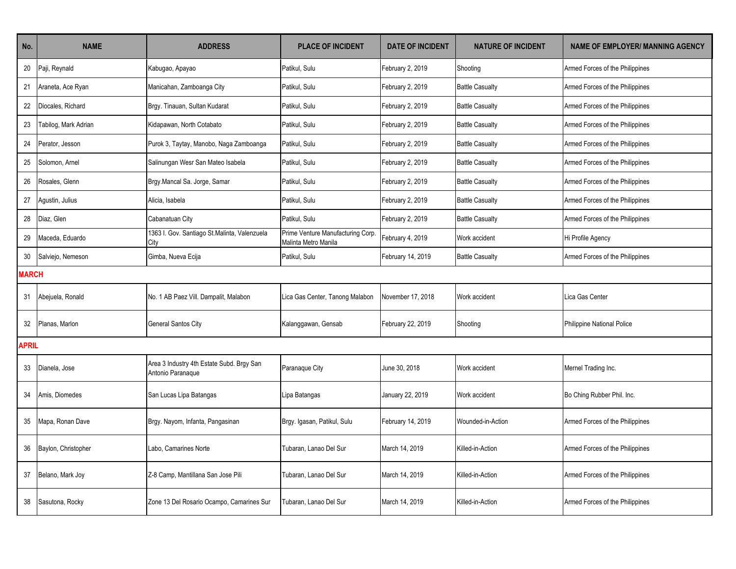| No.          | <b>NAME</b>          | <b>ADDRESS</b>                                                 | <b>PLACE OF INCIDENT</b>                                  | <b>DATE OF INCIDENT</b> | <b>NATURE OF INCIDENT</b> | <b>NAME OF EMPLOYER/ MANNING AGENCY</b> |
|--------------|----------------------|----------------------------------------------------------------|-----------------------------------------------------------|-------------------------|---------------------------|-----------------------------------------|
| 20           | Paji, Reynald        | Kabugao, Apayao                                                | Patikul, Sulu                                             | February 2, 2019        | Shooting                  | Armed Forces of the Philippines         |
| 21           | Araneta, Ace Ryan    | Manicahan, Zamboanga City                                      | Patikul, Sulu                                             | February 2, 2019        | <b>Battle Casualty</b>    | Armed Forces of the Philippines         |
| 22           | Diocales, Richard    | Brgy. Tinauan, Sultan Kudarat                                  | Patikul, Sulu                                             | February 2, 2019        | <b>Battle Casualty</b>    | Armed Forces of the Philippines         |
| 23           | Tabilog, Mark Adrian | Kidapawan, North Cotabato                                      | Patikul, Sulu                                             | February 2, 2019        | <b>Battle Casualty</b>    | Armed Forces of the Philippines         |
| 24           | Perator, Jesson      | Purok 3, Taytay, Manobo, Naga Zamboanga                        | Patikul, Sulu                                             | February 2, 2019        | <b>Battle Casualty</b>    | Armed Forces of the Philippines         |
| 25           | Solomon, Arnel       | Salinungan Wesr San Mateo Isabela                              | Patikul, Sulu                                             | February 2, 2019        | <b>Battle Casualty</b>    | Armed Forces of the Philippines         |
| 26           | Rosales, Glenn       | Brgy.Mancal Sa. Jorge, Samar                                   | Patikul, Sulu                                             | February 2, 2019        | <b>Battle Casualty</b>    | Armed Forces of the Philippines         |
| 27           | Agustin, Julius      | Alicia, Isabela                                                | Patikul, Sulu                                             | February 2, 2019        | <b>Battle Casualty</b>    | Armed Forces of the Philippines         |
| 28           | Diaz, Glen           | Cabanatuan City                                                | Patikul, Sulu                                             | February 2, 2019        | <b>Battle Casualty</b>    | Armed Forces of the Philippines         |
| 29           | Maceda, Eduardo      | 1363 I. Gov. Santiago St.Malinta, Valenzuela<br>City           | Prime Venture Manufacturing Corp.<br>Malinta Metro Manila | February 4, 2019        | Work accident             | Hi Profile Agency                       |
| $30\,$       | Salviejo, Nemeson    | Gimba, Nueva Ecija                                             | Patikul, Sulu                                             | February 14, 2019       | <b>Battle Casualty</b>    | Armed Forces of the Philippines         |
| <b>MARCH</b> |                      |                                                                |                                                           |                         |                           |                                         |
| 31           | Abejuela, Ronald     | No. 1 AB Paez Vill. Dampalit, Malabon                          | Lica Gas Center, Tanong Malabon                           | November 17, 2018       | Work accident             | Lica Gas Center                         |
| 32           | Planas, Marlon       | General Santos City                                            | Kalanggawan, Gensab                                       | February 22, 2019       | Shooting                  | Philippine National Police              |
| <b>APRIL</b> |                      |                                                                |                                                           |                         |                           |                                         |
| 33           | Dianela, Jose        | Area 3 Industry 4th Estate Subd. Brgy San<br>Antonio Paranaque | Paranaque City                                            | June 30, 2018           | Work accident             | Mernel Trading Inc.                     |
| 34           | Amis, Diomedes       | San Lucas Lipa Batangas                                        | Lipa Batangas                                             | January 22, 2019        | Work accident             | Bo Ching Rubber Phil. Inc.              |
| 35           | Mapa, Ronan Dave     | Brgy. Nayom, Infanta, Pangasinan                               | Brgy. Igasan, Patikul, Sulu                               | February 14, 2019       | Wounded-in-Action         | Armed Forces of the Philippines         |
| 36           | Baylon, Christopher  | Labo. Camarines Norte                                          | Tubaran, Lanao Del Sur                                    | March 14, 2019          | Killed-in-Action          | Armed Forces of the Philippines         |
| 37           | Belano, Mark Joy     | Z-8 Camp, Mantillana San Jose Pili                             | Tubaran, Lanao Del Sur                                    | March 14, 2019          | Killed-in-Action          | Armed Forces of the Philippines         |
| 38           | Sasutona, Rocky      | Zone 13 Del Rosario Ocampo, Camarines Sur                      | Tubaran, Lanao Del Sur                                    | March 14, 2019          | Killed-in-Action          | Armed Forces of the Philippines         |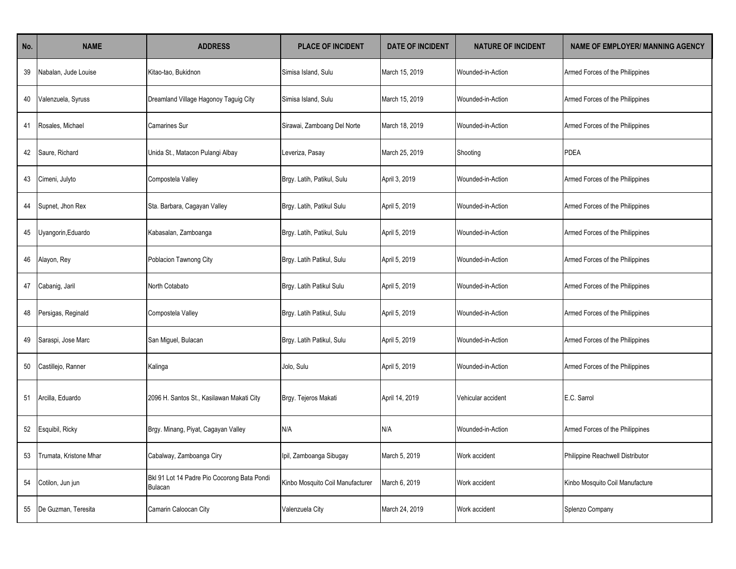| No. | <b>NAME</b>            | <b>ADDRESS</b>                                                | <b>PLACE OF INCIDENT</b>         | <b>DATE OF INCIDENT</b> | <b>NATURE OF INCIDENT</b> | <b>NAME OF EMPLOYER/ MANNING AGENCY</b> |
|-----|------------------------|---------------------------------------------------------------|----------------------------------|-------------------------|---------------------------|-----------------------------------------|
| 39  | Nabalan, Jude Louise   | Kitao-tao, Bukidnon                                           | Simisa Island, Sulu              | March 15, 2019          | Wounded-in-Action         | Armed Forces of the Philippines         |
| 40  | Valenzuela, Syruss     | Dreamland Village Hagonoy Taguig City                         | Simisa Island, Sulu              | March 15, 2019          | Wounded-in-Action         | Armed Forces of the Philippines         |
| -41 | Rosales, Michael       | Camarines Sur                                                 | Sirawai, Zamboang Del Norte      | March 18, 2019          | Wounded-in-Action         | Armed Forces of the Philippines         |
| 42  | Saure, Richard         | Unida St., Matacon Pulangi Albay                              | Leveriza, Pasay                  | March 25, 2019          | Shooting                  | PDEA                                    |
| 43  | Cimeni, Julyto         | Compostela Valley                                             | Brgy. Latih, Patikul, Sulu       | April 3, 2019           | Wounded-in-Action         | Armed Forces of the Philippines         |
| 44  | Supnet, Jhon Rex       | Sta. Barbara, Cagayan Valley                                  | Brgy. Latih, Patikul Sulu        | April 5, 2019           | Wounded-in-Action         | Armed Forces of the Philippines         |
| 45  | Uyangorin, Eduardo     | Kabasalan, Zamboanga                                          | Brgy. Latih, Patikul, Sulu       | April 5, 2019           | Wounded-in-Action         | Armed Forces of the Philippines         |
| 46  | Alayon, Rey            | Poblacion Tawnong City                                        | Brgy. Latih Patikul, Sulu        | April 5, 2019           | Wounded-in-Action         | Armed Forces of the Philippines         |
| 47  | Cabanig, Jaril         | North Cotabato                                                | Brgy. Latih Patikul Sulu         | April 5, 2019           | Wounded-in-Action         | Armed Forces of the Philippines         |
| 48  | Persigas, Reginald     | Compostela Valley                                             | Brgy. Latih Patikul, Sulu        | April 5, 2019           | Wounded-in-Action         | Armed Forces of the Philippines         |
| 49  | Saraspi, Jose Marc     | San Miguel, Bulacan                                           | Brgy. Latih Patikul, Sulu        | April 5, 2019           | Wounded-in-Action         | Armed Forces of the Philippines         |
| 50  | Castillejo, Ranner     | Kalinga                                                       | Jolo, Sulu                       | April 5, 2019           | Wounded-in-Action         | Armed Forces of the Philippines         |
| 51  | Arcilla, Eduardo       | 2096 H. Santos St., Kasilawan Makati City                     | Brgy. Tejeros Makati             | April 14, 2019          | Vehicular accident        | E.C. Sarrol                             |
| 52  | Esquibil, Ricky        | Brgy. Minang, Piyat, Cagayan Valley                           | N/A                              | N/A                     | Wounded-in-Action         | Armed Forces of the Philippines         |
| 53  | Trumata, Kristone Mhar | Cabalway, Zamboanga Ciry                                      | Ipil, Zamboanga Sibugay          | March 5, 2019           | Work accident             | Philippine Reachwell Distributor        |
| 54  | Cotilon, Jun jun       | Bkl 91 Lot 14 Padre Pio Cocorong Bata Pondi<br><b>Bulacan</b> | Kinbo Mosquito Coil Manufacturer | March 6, 2019           | Work accident             | Kinbo Mosquito Coil Manufacture         |
| 55  | De Guzman, Teresita    | Camarin Caloocan City                                         | Valenzuela City                  | March 24, 2019          | Work accident             | Splenzo Company                         |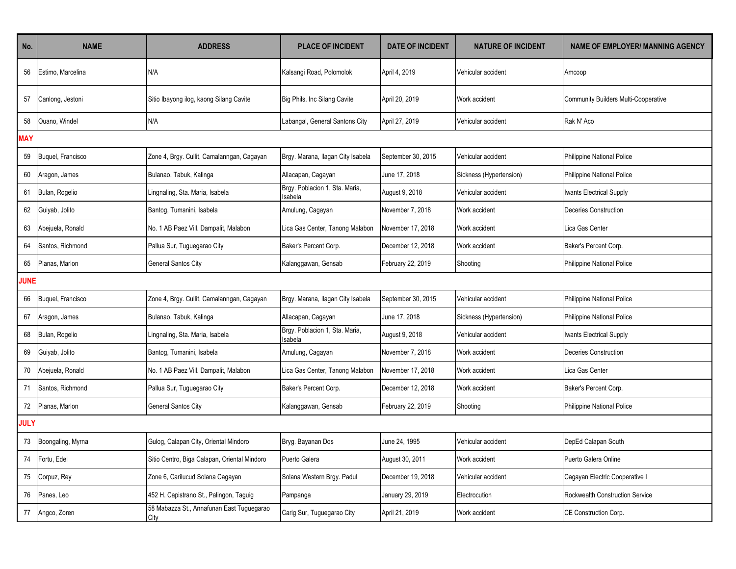| No.         | <b>NAME</b>       | <b>ADDRESS</b>                                    | <b>PLACE OF INCIDENT</b>                  | <b>DATE OF INCIDENT</b> | <b>NATURE OF INCIDENT</b> | <b>NAME OF EMPLOYER/ MANNING AGENCY</b>     |
|-------------|-------------------|---------------------------------------------------|-------------------------------------------|-------------------------|---------------------------|---------------------------------------------|
| 56          | Estimo, Marcelina | N/A                                               | Kalsangi Road, Polomolok                  | April 4, 2019           | Vehicular accident        | Amcoop                                      |
| 57          | Canlong, Jestoni  | Sitio Ibayong ilog, kaong Silang Cavite           | Big Phils. Inc Silang Cavite              | April 20, 2019          | Work accident             | <b>Community Builders Multi-Cooperative</b> |
| 58          | Ouano, Windel     | N/A                                               | Labangal, General Santons City            | April 27, 2019          | Vehicular accident        | Rak N' Aco                                  |
| <b>MAY</b>  |                   |                                                   |                                           |                         |                           |                                             |
| 59          | Buguel, Francisco | Zone 4, Brgy. Cullit, Camalanngan, Cagayan        | Brgy. Marana, Ilagan City Isabela         | September 30, 2015      | Vehicular accident        | Philippine National Police                  |
| 60          | Aragon, James     | Bulanao, Tabuk, Kalinga                           | Allacapan, Cagayan                        | June 17, 2018           | Sickness (Hypertension)   | Philippine National Police                  |
| 61          | Bulan, Rogelio    | Lingnaling, Sta. Maria, Isabela                   | Brgy. Poblacion 1, Sta. Maria,<br>Isabela | August 9, 2018          | Vehicular accident        | Iwants Electrical Supply                    |
| 62          | Guiyab, Jolito    | Bantog, Tumanini, Isabela                         | Amulung, Cagayan                          | November 7, 2018        | Work accident             | Deceries Construction                       |
| 63          | Abejuela, Ronald  | No. 1 AB Paez Vill. Dampalit, Malabon             | Lica Gas Center, Tanong Malabon           | November 17, 2018       | Work accident             | Lica Gas Center                             |
| 64          | Santos, Richmond  | Pallua Sur, Tuguegarao City                       | Baker's Percent Corp.                     | December 12, 2018       | Work accident             | Baker's Percent Corp.                       |
| 65          | Planas, Marlon    | General Santos City                               | Kalanggawan, Gensab                       | February 22, 2019       | Shooting                  | Philippine National Police                  |
| <b>JUNE</b> |                   |                                                   |                                           |                         |                           |                                             |
| 66          | Buquel, Francisco | Zone 4, Brgy. Cullit, Camalanngan, Cagayan        | Brgy. Marana, Ilagan City Isabela         | September 30, 2015      | Vehicular accident        | Philippine National Police                  |
| 67          | Aragon, James     | Bulanao, Tabuk, Kalinga                           | Allacapan, Cagayan                        | June 17, 2018           | Sickness (Hypertension)   | Philippine National Police                  |
| 68          | Bulan, Rogelio    | Lingnaling, Sta. Maria, Isabela                   | Brgy. Poblacion 1, Sta. Maria,<br>sabela  | August 9, 2018          | Vehicular accident        | Iwants Electrical Supply                    |
| 69          | Guiyab, Jolito    | Bantog, Tumanini, Isabela                         | Amulung, Cagayan                          | November 7, 2018        | Work accident             | Deceries Construction                       |
| 70          | Abejuela, Ronald  | No. 1 AB Paez Vill. Dampalit, Malabon             | Lica Gas Center, Tanong Malabon           | November 17, 2018       | Work accident             | Lica Gas Center                             |
| 71          | Santos, Richmond  | Pallua Sur, Tuguegarao City                       | Baker's Percent Corp.                     | December 12, 2018       | Work accident             | Baker's Percent Corp.                       |
| 72          | Planas, Marlon    | General Santos City                               | Kalanggawan, Gensab                       | February 22, 2019       | Shooting                  | Philippine National Police                  |
| <b>JULY</b> |                   |                                                   |                                           |                         |                           |                                             |
| 73          | Boongaling, Myrna | Gulog, Calapan City, Oriental Mindoro             | Bryg. Bayanan Dos                         | June 24, 1995           | Vehicular accident        | DepEd Calapan South                         |
| 74          | Fortu, Edel       | Sitio Centro, Biga Calapan, Oriental Mindoro      | Puerto Galera                             | August 30, 2011         | Work accident             | Puerto Galera Online                        |
| 75          | Corpuz, Rey       | Zone 6, Carilucud Solana Cagayan                  | Solana Western Brgy. Padul                | December 19, 2018       | Vehicular accident        | Cagayan Electric Cooperative I              |
| 76          | Panes, Leo        | 452 H. Capistrano St., Palingon, Taguig           | Pampanga                                  | January 29, 2019        | Electrocution             | Rockwealth Construction Service             |
| 77          | Angco, Zoren      | 58 Mabazza St., Annafunan East Tuguegarao<br>City | Carig Sur, Tuguegarao City                | April 21, 2019          | Work accident             | CE Construction Corp.                       |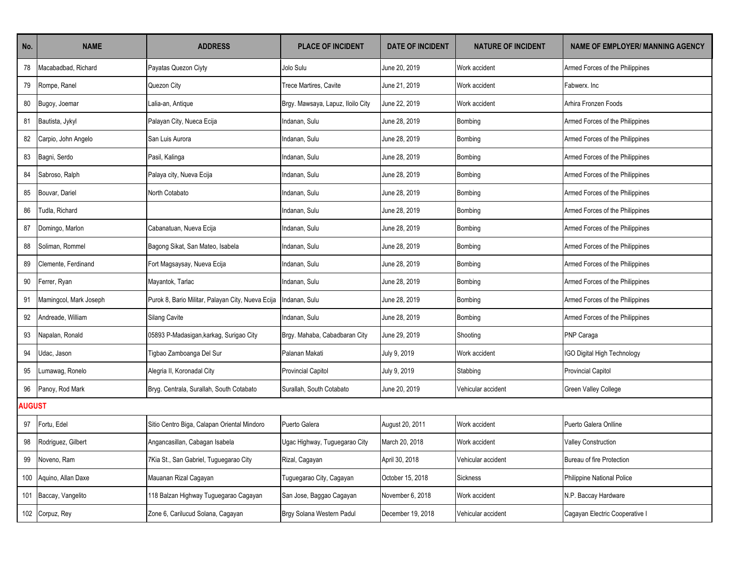| No.    | <b>NAME</b>            | <b>ADDRESS</b>                                    | <b>PLACE OF INCIDENT</b>          | <b>DATE OF INCIDENT</b> | <b>NATURE OF INCIDENT</b> | <b>NAME OF EMPLOYER/ MANNING AGENCY</b> |
|--------|------------------------|---------------------------------------------------|-----------------------------------|-------------------------|---------------------------|-----------------------------------------|
| 78     | Macabadbad, Richard    | Payatas Quezon Ciyty                              | Jolo Sulu                         | June 20, 2019           | Work accident             | Armed Forces of the Philippines         |
| 79     | Rompe, Ranel           | Quezon City                                       | Trece Martires, Cavite            | June 21, 2019           | Work accident             | Fabwerx, Inc                            |
| 80     | Bugoy, Joemar          | alia-an, Antique                                  | Brgy. Mawsaya, Lapuz, Iloilo City | June 22, 2019           | Work accident             | Arhira Fronzen Foods                    |
| 81     | Bautista, Jykyl        | Palayan City, Nueca Ecija                         | Indanan, Sulu                     | June 28, 2019           | Bombing                   | Armed Forces of the Philippines         |
| 82     | Carpio, John Angelo    | San Luis Aurora                                   | Indanan, Sulu                     | June 28, 2019           | Bombing                   | Armed Forces of the Philippines         |
| 83     | Bagni, Serdo           | Pasil, Kalinga                                    | Indanan, Sulu                     | June 28, 2019           | Bombing                   | Armed Forces of the Philippines         |
| 84     | Sabroso, Ralph         | Palaya city, Nueva Ecija                          | Indanan, Sulu                     | June 28, 2019           | Bombing                   | Armed Forces of the Philippines         |
| 85     | Bouvar, Dariel         | North Cotabato                                    | Indanan, Sulu                     | June 28, 2019           | <b>Bombing</b>            | Armed Forces of the Philippines         |
| 86     | Tudla, Richard         |                                                   | Indanan, Sulu                     | June 28, 2019           | Bombing                   | Armed Forces of the Philippines         |
| 87     | Domingo, Marlon        | Cabanatuan, Nueva Ecija                           | Indanan, Sulu                     | June 28, 2019           | Bombing                   | Armed Forces of the Philippines         |
| 88     | Soliman, Rommel        | Bagong Sikat, San Mateo, Isabela                  | Indanan, Sulu                     | June 28, 2019           | Bombing                   | Armed Forces of the Philippines         |
| 89     | Clemente, Ferdinand    | Fort Magsaysay, Nueva Ecija                       | Indanan, Sulu                     | June 28, 2019           | Bombing                   | Armed Forces of the Philippines         |
| 90     | Ferrer, Ryan           | Mayantok, Tarlac                                  | Indanan, Sulu                     | June 28, 2019           | Bombing                   | Armed Forces of the Philippines         |
| 91     | Mamingcol, Mark Joseph | Purok 8, Bario Militar, Palayan City, Nueva Ecija | Indanan, Sulu                     | June 28, 2019           | Bombing                   | Armed Forces of the Philippines         |
| 92     | Andreade, William      | <b>Silang Cavite</b>                              | Indanan, Sulu                     | June 28, 2019           | Bombing                   | Armed Forces of the Philippines         |
| 93     | Napalan, Ronald        | 05893 P-Madasigan, karkag, Surigao City           | Brgy. Mahaba, Cabadbaran City     | June 29, 2019           | Shooting                  | PNP Caraga                              |
| 94     | Udac, Jason            | Tigbao Zamboanga Del Sur                          | Palanan Makati                    | July 9, 2019            | Work accident             | IGO Digital High Technology             |
| 95     | Lumawag, Ronelo        | Alegria II, Koronadal City                        | <b>Provincial Capitol</b>         | July 9, 2019            | Stabbing                  | <b>Provincial Capitol</b>               |
| 96     | Panoy, Rod Mark        | Bryg. Centrala, Surallah, South Cotabato          | Surallah, South Cotabato          | June 20, 2019           | Vehicular accident        | Green Valley College                    |
| AUGUST |                        |                                                   |                                   |                         |                           |                                         |
| 97     | Fortu, Edel            | Sitio Centro Biga, Calapan Oriental Mindoro       | Puerto Galera                     | August 20, 2011         | Work accident             | Puerto Galera Onlline                   |
| 98     | Rodriguez, Gilbert     | Angancasillan, Cabagan Isabela                    | Ugac Highway, Tuguegarao City     | March 20, 2018          | Work accident             | <b>Valley Construction</b>              |
| 99     | Noveno, Ram            | 7Kia St., San Gabriel, Tuguegarao City            | Rizal, Cagayan                    | April 30, 2018          | Vehicular accident        | Bureau of fire Protection               |
| 100    | Aquino, Allan Daxe     | Mauanan Rizal Cagayan                             | Tuguegarao City, Cagayan          | October 15, 2018        | Sickness                  | Philippine National Police              |
| 101    | Baccay, Vangelito      | 118 Balzan Highway Tuguegarao Cagayan             | San Jose, Baggao Cagayan          | November 6, 2018        | Work accident             | N.P. Baccay Hardware                    |
|        | 102 Corpuz, Rey        | Zone 6, Carilucud Solana, Cagayan                 | Brgy Solana Western Padul         | December 19, 2018       | Vehicular accident        | Cagayan Electric Cooperative I          |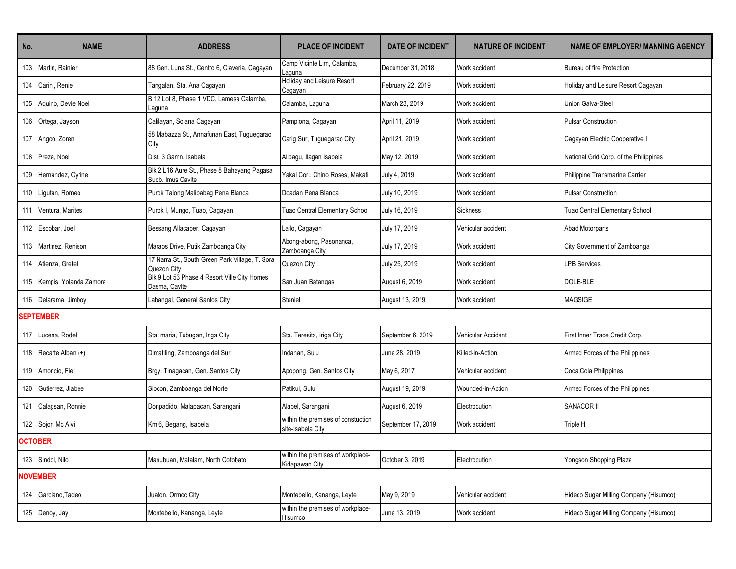| No.            | <b>NAME</b>                | <b>ADDRESS</b>                                                   | <b>PLACE OF INCIDENT</b>                                | <b>DATE OF INCIDENT</b> | <b>NATURE OF INCIDENT</b> | <b>NAME OF EMPLOYER/ MANNING AGENCY</b> |
|----------------|----------------------------|------------------------------------------------------------------|---------------------------------------------------------|-------------------------|---------------------------|-----------------------------------------|
| 103            | Martin, Rainier            | 88 Gen. Luna St., Centro 6, Claveria, Cagayan                    | Camp Vicinte Lim, Calamba,<br>Laguna                    | December 31, 2018       | Work accident             | Bureau of fire Protection               |
| 104            | Carini, Renie              | Tangalan, Sta. Ana Cagayan                                       | Holiday and Leisure Resort<br>Cagayan                   | February 22, 2019       | Work accident             | Holiday and Leisure Resort Cagayan      |
| 105            | Aguino, Devie Noel         | B 12 Lot 8, Phase 1 VDC, Lamesa Calamba,<br>Laquna               | Calamba, Laguna                                         | March 23, 2019          | Work accident             | Union Galva-Steel                       |
| 106            | Ortega, Jayson             | Calilayan, Solana Cagayan                                        | Pamplona, Cagayan                                       | April 11, 2019          | Work accident             | <b>Pulsar Construction</b>              |
|                | 107 Angco, Zoren           | 58 Mabazza St., Annafunan East, Tuguegarao<br>City               | Carig Sur, Tuguegarao City                              | April 21, 2019          | Work accident             | Cagayan Electric Cooperative I          |
| 108            | Preza, Noel                | Dist. 3 Gamn. Isabela                                            | Alibagu, Ilagan Isabela                                 | May 12, 2019            | Work accident             | National Grid Corp. of the Philippines  |
| 109            | Hernandez, Cyrine          | Blk 2 L16 Aure St., Phase 8 Bahayang Pagasa<br>Sudb. Imus Cavite | Yakal Cor., Chino Roses, Makati                         | July 4, 2019            | Work accident             | Philippine Transmarine Carrier          |
| 110            | Ligutan, Romeo             | Purok Talong Malibabag Pena Blanca                               | Doadan Pena Blanca                                      | July 10, 2019           | Work accident             | <b>Pulsar Construction</b>              |
|                | 111 Ventura, Marites       | Purok I, Mungo, Tuao, Cagayan                                    | Tuao Central Elementary School                          | July 16, 2019           | <b>Sickness</b>           | Tuao Central Elementary School          |
|                | 112 Escobar, Joel          | Bessang Allacaper, Cagayan                                       | Lallo, Cagayan                                          | July 17, 2019           | Vehicular accident        | Abad Motorparts                         |
|                | 113 Martinez, Renison      | Maraos Drive, Putik Zamboanga City                               | Abong-abong, Pasonanca,<br>Zamboanga City               | July 17, 2019           | Work accident             | City Government of Zamboanga            |
|                | 114 Atienza, Gretel        | 17 Narra St., South Green Park Village, T. Sora<br>Quezon City   | Quezon City                                             | July 25, 2019           | Work accident             | <b>LPB Services</b>                     |
|                | 115 Kempis, Yolanda Zamora | Blk 9 Lot 53 Phase 4 Resort Ville City Homes<br>Dasma, Cavite    | San Juan Batangas                                       | August 6, 2019          | Work accident             | DOLE-BLE                                |
|                | 116 Delarama, Jimboy       | Labangal, General Santos City                                    | Steniel                                                 | August 13, 2019         | Work accident             | <b>MAGSIGE</b>                          |
|                | <b>SEPTEMBER</b>           |                                                                  |                                                         |                         |                           |                                         |
| 117            | Lucena, Rodel              | Sta. maria, Tubugan, Iriga City                                  | Sta. Teresita, Iriga City                               | September 6, 2019       | Vehicular Accident        | First Inner Trade Credit Corp.          |
|                | 118 Recarte Alban (+)      | Dimatiling, Zamboanga del Sur                                    | Indanan, Sulu                                           | June 28, 2019           | Killed-in-Action          | Armed Forces of the Philippines         |
|                | 119 Amoncio, Fiel          | Brgy. Tinagacan, Gen. Santos City                                | Apopong, Gen. Santos City                               | May 6, 2017             | Vehicular accident        | Coca Cola Philippines                   |
| 120            | Gutierrez, Jiabee          | Siocon, Zamboanga del Norte                                      | Patikul, Sulu                                           | August 19, 2019         | Wounded-in-Action         | Armed Forces of the Philippines         |
| 121            | Calagsan, Ronnie           | Donpadido, Malapacan, Sarangani                                  | Alabel, Sarangani                                       | August 6, 2019          | Electrocution             | <b>SANACOR II</b>                       |
|                | 122 Sojor, Mc Alvi         | Km 6, Begang, Isabela                                            | within the premises of constuction<br>site-Isabela City | September 17, 2019      | Work accident             | Triple H                                |
| <b>OCTOBER</b> |                            |                                                                  |                                                         |                         |                           |                                         |
|                | 123 Sindol, Nilo           | Manubuan, Matalam, North Cotobato                                | within the premises of workplace-<br>Kidapawan City     | October 3, 2019         | Electrocution             | Yongson Shopping Plaza                  |
|                | <b>NOVEMBER</b>            |                                                                  |                                                         |                         |                           |                                         |
|                | 124 Garciano, Tadeo        | Juaton, Ormoc City                                               | Montebello, Kananga, Leyte                              | May 9, 2019             | Vehicular accident        | Hideco Sugar Milling Company (Hisumco)  |
|                | 125 Denoy, Jay             | Montebello, Kananga, Leyte                                       | within the premises of workplace-<br>Hisumco            | June 13, 2019           | Work accident             | Hideco Sugar Milling Company (Hisumco)  |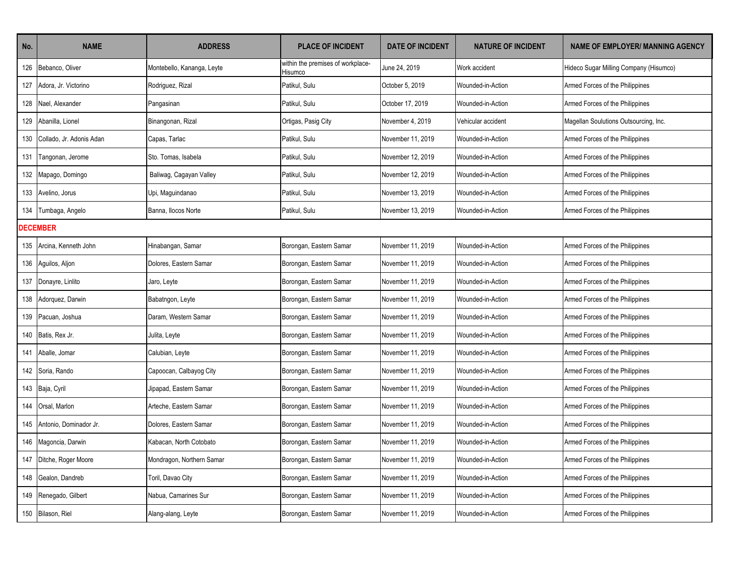| No.             | <b>NAME</b>                  | <b>ADDRESS</b>             | <b>PLACE OF INCIDENT</b>                     | <b>DATE OF INCIDENT</b> | <b>NATURE OF INCIDENT</b> | <b>NAME OF EMPLOYER/ MANNING AGENCY</b> |
|-----------------|------------------------------|----------------------------|----------------------------------------------|-------------------------|---------------------------|-----------------------------------------|
|                 | 126 Bebanco, Oliver          | Montebello, Kananga, Leyte | within the premises of workplace-<br>Hisumco | June 24, 2019           | Work accident             | Hideco Sugar Milling Company (Hisumco)  |
| 127             | Adora, Jr. Victorino         | Rodriguez, Rizal           | Patikul, Sulu                                | October 5, 2019         | Wounded-in-Action         | Armed Forces of the Philippines         |
|                 | 128 Nael, Alexander          | Pangasinan                 | Patikul, Sulu                                | October 17, 2019        | Wounded-in-Action         | Armed Forces of the Philippines         |
|                 | 129 Abanilla, Lionel         | Binangonan, Rizal          | Ortigas, Pasig City                          | November 4, 2019        | Vehicular accident        | Magellan Soulutions Outsourcing, Inc.   |
|                 | 130 Collado, Jr. Adonis Adan | Capas, Tarlac              | Patikul, Sulu                                | November 11, 2019       | Wounded-in-Action         | Armed Forces of the Philippines         |
| 131             | Tangonan, Jerome             | Sto. Tomas, Isabela        | Patikul, Sulu                                | November 12, 2019       | Wounded-in-Action         | Armed Forces of the Philippines         |
|                 | 132 Mapago, Domingo          | Baliwag, Cagayan Valley    | Patikul, Sulu                                | November 12, 2019       | Wounded-in-Action         | Armed Forces of the Philippines         |
|                 | 133 Avelino, Jorus           | Upi, Maguindanao           | Patikul, Sulu                                | November 13, 2019       | Wounded-in-Action         | Armed Forces of the Philippines         |
|                 | 134 Tumbaga, Angelo          | Banna, Ilocos Norte        | Patikul, Sulu                                | November 13, 2019       | Wounded-in-Action         | Armed Forces of the Philippines         |
| <b>DECEMBER</b> |                              |                            |                                              |                         |                           |                                         |
|                 | 135 Arcina, Kenneth John     | Hinabangan, Samar          | Borongan, Eastern Samar                      | November 11, 2019       | Wounded-in-Action         | Armed Forces of the Philippines         |
|                 | 136 Aguilos, Aljon           | Dolores. Eastern Samar     | Borongan, Eastern Samar                      | November 11, 2019       | Wounded-in-Action         | Armed Forces of the Philippines         |
|                 | 137 Donayre, Linlito         | Jaro, Leyte                | Borongan, Eastern Samar                      | November 11, 2019       | Wounded-in-Action         | Armed Forces of the Philippines         |
|                 | 138 Adorquez, Darwin         | Babatngon, Leyte           | Borongan, Eastern Samar                      | November 11, 2019       | Wounded-in-Action         | Armed Forces of the Philippines         |
|                 | 139 Pacuan, Joshua           | Daram, Western Samar       | Borongan, Eastern Samar                      | November 11, 2019       | Wounded-in-Action         | Armed Forces of the Philippines         |
|                 | 140 Batis, Rex Jr.           | Julita, Leyte              | Borongan, Eastern Samar                      | November 11, 2019       | Wounded-in-Action         | Armed Forces of the Philippines         |
|                 | 141 Aballe, Jomar            | Calubian, Leyte            | Borongan, Eastern Samar                      | November 11, 2019       | Wounded-in-Action         | Armed Forces of the Philippines         |
|                 | 142 Soria, Rando             | Capoocan, Calbayog City    | Borongan, Eastern Samar                      | November 11, 2019       | Wounded-in-Action         | Armed Forces of the Philippines         |
|                 | 143 Baja, Cyril              | Jipapad, Eastern Samar     | Borongan, Eastern Samar                      | November 11, 2019       | Wounded-in-Action         | Armed Forces of the Philippines         |
|                 | 144 Orsal, Marlon            | Arteche, Eastern Samar     | Borongan, Eastern Samar                      | November 11, 2019       | Wounded-in-Action         | Armed Forces of the Philippines         |
|                 | 145 Antonio, Dominador Jr.   | Dolores, Eastern Samar     | Borongan, Eastern Samar                      | November 11, 2019       | Wounded-in-Action         | Armed Forces of the Philippines         |
|                 | 146 Magoncia, Darwin         | Kabacan, North Cotobato    | Borongan, Eastern Samar                      | November 11, 2019       | Wounded-in-Action         | Armed Forces of the Philippines         |
|                 | 147 Ditche, Roger Moore      | Mondragon, Northern Samar  | Borongan, Eastern Samar                      | November 11, 2019       | Wounded-in-Action         | Armed Forces of the Philippines         |
|                 | 148 Gealon, Dandreb          | Toril, Davao City          | Borongan, Eastern Samar                      | November 11, 2019       | Wounded-in-Action         | Armed Forces of the Philippines         |
|                 | 149 Renegado, Gilbert        | Nabua, Camarines Sur       | Borongan, Eastern Samar                      | November 11, 2019       | Wounded-in-Action         | Armed Forces of the Philippines         |
|                 | 150 Bilason, Riel            | Alang-alang, Leyte         | Borongan, Eastern Samar                      | November 11, 2019       | Wounded-in-Action         | Armed Forces of the Philippines         |